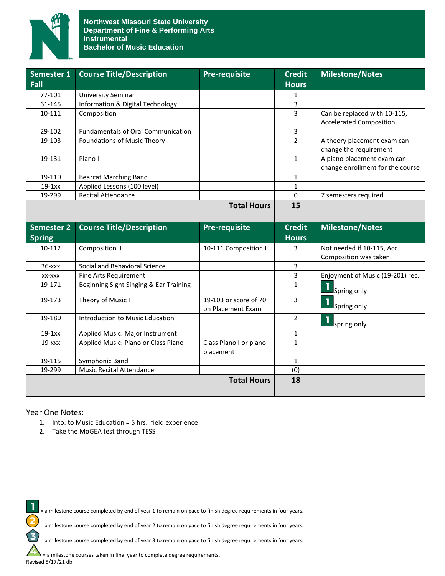

| Semester 1        | <b>Course Title/Description</b>           | <b>Pre-requisite</b>                       | <b>Credit</b>  | <b>Milestone/Notes</b>           |
|-------------------|-------------------------------------------|--------------------------------------------|----------------|----------------------------------|
| Fall              |                                           |                                            | <b>Hours</b>   |                                  |
| 77-101            | <b>University Seminar</b>                 |                                            | 1              |                                  |
| 61-145            | Information & Digital Technology          |                                            | $\overline{3}$ |                                  |
| 10-111            | Composition I                             |                                            | $\overline{3}$ | Can be replaced with 10-115,     |
|                   |                                           |                                            |                | <b>Accelerated Composition</b>   |
| 29-102            | <b>Fundamentals of Oral Communication</b> |                                            | 3              |                                  |
| 19-103            | Foundations of Music Theory               |                                            | $\overline{2}$ | A theory placement exam can      |
|                   |                                           |                                            |                | change the requirement           |
| 19-131            | Piano I                                   |                                            | $\mathbf{1}$   | A piano placement exam can       |
|                   |                                           |                                            |                | change enrollment for the course |
| 19-110            | <b>Bearcat Marching Band</b>              |                                            | $\mathbf{1}$   |                                  |
| $19-1xx$          | Applied Lessons (100 level)               |                                            | $\mathbf{1}$   |                                  |
| 19-299            | <b>Recital Attendance</b>                 |                                            | $\mathbf 0$    | 7 semesters required             |
|                   |                                           | <b>Total Hours</b>                         | 15             |                                  |
|                   |                                           |                                            |                |                                  |
| <b>Semester 2</b> | <b>Course Title/Description</b>           | <b>Pre-requisite</b>                       | <b>Credit</b>  | <b>Milestone/Notes</b>           |
| <b>Spring</b>     |                                           |                                            | <b>Hours</b>   |                                  |
| 10-112            | <b>Composition II</b>                     | 10-111 Composition I                       | 3              | Not needed if 10-115, Acc.       |
|                   |                                           |                                            |                | Composition was taken            |
| 36-xxx            | Social and Behavioral Science             |                                            | 3              |                                  |
| XX-XXX            | Fine Arts Requirement                     |                                            | 3              | Enjoyment of Music (19-201) rec. |
| 19-171            | Beginning Sight Singing & Ear Training    |                                            | $\mathbf{1}$   |                                  |
|                   |                                           |                                            |                | Spring only                      |
| 19-173            | Theory of Music I                         | 19-103 or score of 70<br>on Placement Exam | $\overline{3}$ | l,<br>Spring only                |
|                   |                                           |                                            |                |                                  |
| 19-180            |                                           |                                            |                |                                  |
|                   | Introduction to Music Education           |                                            | $\overline{2}$ | ı<br>spring only                 |
| $19-1xx$          | Applied Music: Major Instrument           |                                            | $\mathbf{1}$   |                                  |
| $19  xxx$         | Applied Music: Piano or Class Piano II    | Class Piano I or piano                     | $\mathbf{1}$   |                                  |
|                   |                                           | placement                                  |                |                                  |
| 19-115            | Symphonic Band                            |                                            | $\mathbf{1}$   |                                  |
| 19-299            | <b>Music Recital Attendance</b>           |                                            | (0)            |                                  |
|                   |                                           | <b>Total Hours</b>                         | 18             |                                  |

### Year One Notes:

- 1. Into. to Music Education = 5 hrs. field experience
- 2. Take the MoGEA test through TESS

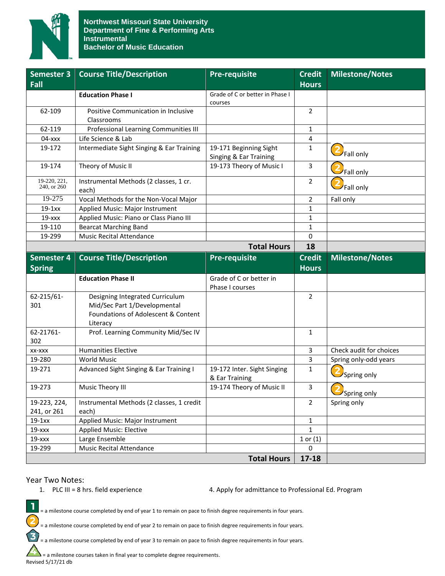

| Semester 3                  | <b>Course Title/Description</b>                                                                                    | <b>Pre-requisite</b>                             | <b>Credit</b>           | <b>Milestone/Notes</b>  |
|-----------------------------|--------------------------------------------------------------------------------------------------------------------|--------------------------------------------------|-------------------------|-------------------------|
| Fall                        |                                                                                                                    |                                                  | <b>Hours</b>            |                         |
|                             | <b>Education Phase I</b>                                                                                           | Grade of C or better in Phase I<br>courses       |                         |                         |
| 62-109                      | Positive Communication in Inclusive<br>Classrooms                                                                  |                                                  | $\overline{2}$          |                         |
| 62-119                      | Professional Learning Communities III                                                                              |                                                  | $\mathbf{1}$            |                         |
| $04  xxx$                   | Life Science & Lab                                                                                                 |                                                  | $\overline{\mathbf{4}}$ |                         |
| 19-172                      | Intermediate Sight Singing & Ear Training                                                                          | 19-171 Beginning Sight<br>Singing & Ear Training | $\mathbf{1}$            | <sup>2</sup> Fall only  |
| 19-174                      | Theory of Music II                                                                                                 | 19-173 Theory of Music I                         | 3                       | Fall only               |
| 19-220, 221,<br>240, or 260 | Instrumental Methods (2 classes, 1 cr.<br>each)                                                                    |                                                  | $\overline{2}$          | Fall only               |
| 19-275                      | Vocal Methods for the Non-Vocal Major                                                                              |                                                  | $\overline{2}$          | Fall only               |
| $19-1xx$                    | Applied Music: Major Instrument                                                                                    |                                                  | $\mathbf{1}$            |                         |
| $19  xxx$                   | Applied Music: Piano or Class Piano III                                                                            |                                                  | $\mathbf{1}$            |                         |
| 19-110                      | <b>Bearcat Marching Band</b>                                                                                       |                                                  | $\mathbf{1}$            |                         |
| 19-299                      | <b>Music Recital Attendance</b>                                                                                    |                                                  | 0                       |                         |
|                             |                                                                                                                    | <b>Total Hours</b>                               | 18                      |                         |
| Semester 4                  | <b>Course Title/Description</b>                                                                                    | <b>Pre-requisite</b>                             | <b>Credit</b>           | <b>Milestone/Notes</b>  |
| <b>Spring</b>               |                                                                                                                    |                                                  | <b>Hours</b>            |                         |
|                             | <b>Education Phase II</b>                                                                                          | Grade of C or better in<br>Phase I courses       |                         |                         |
| 62-215/61-<br>301           | Designing Integrated Curriculum<br>Mid/Sec Part 1/Developmental<br>Foundations of Adolescent & Content<br>Literacy |                                                  | $\overline{2}$          |                         |
| 62-21761-<br>302            | Prof. Learning Community Mid/Sec IV                                                                                |                                                  | $\mathbf{1}$            |                         |
| XX-XXX                      | <b>Humanities Elective</b>                                                                                         |                                                  | 3                       | Check audit for choices |
| 19-280                      | <b>World Music</b>                                                                                                 |                                                  | 3                       | Spring only-odd years   |
| 19-271                      | Advanced Sight Singing & Ear Training I                                                                            | 19-172 Inter. Sight Singing<br>& Ear Training    | $\mathbf{1}$            | Spring only             |
| 19-273                      | Music Theory III                                                                                                   | 19-174 Theory of Music II                        | $\overline{3}$          | Spring only             |
| 19-223, 224,<br>241, or 261 | Instrumental Methods (2 classes, 1 credit<br>each)                                                                 |                                                  | $\overline{2}$          | Spring only             |
| $19-1xx$                    | Applied Music: Major Instrument                                                                                    |                                                  | $\mathbf{1}$            |                         |
| 19-xxx                      | <b>Applied Music: Elective</b>                                                                                     |                                                  | $\mathbf{1}$            |                         |
| 19-xxx                      | Large Ensemble                                                                                                     |                                                  | $1$ or $(1)$            |                         |
| 19-299                      | <b>Music Recital Attendance</b>                                                                                    |                                                  | 0                       |                         |
|                             |                                                                                                                    | <b>Total Hours</b>                               | $17 - 18$               |                         |

## Year Two Notes:

 $\mathbf{I}$ 

2

 $\mathbf{E}$ 

1. PLC III = 8 hrs. field experience 4. Apply for admittance to Professional Ed. Program

= a milestone course completed by end of year 1 to remain on pace to finish degree requirements in four years.

= a milestone course completed by end of year 2 to remain on pace to finish degree requirements in four years.

= a milestone course completed by end of year 3 to remain on pace to finish degree requirements in four years.

 $\blacktriangle$  = a milestone courses taken in final year to complete degree requirements. Revised 5/17/21 db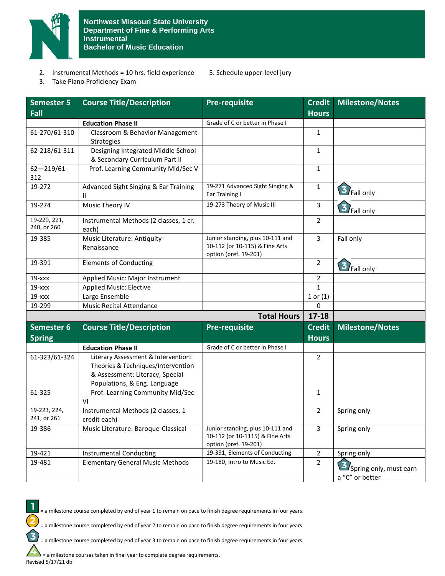

- 2. Instrumental Methods = 10 hrs. field experience 5. Schedule upper-level jury
	-

3. Take Piano Proficiency Exam

| <b>Semester 5</b>           | <b>Course Title/Description</b>                                                                                                              | <b>Pre-requisite</b>                                                                         | <b>Credit</b>                 | <b>Milestone/Notes</b>                    |
|-----------------------------|----------------------------------------------------------------------------------------------------------------------------------------------|----------------------------------------------------------------------------------------------|-------------------------------|-------------------------------------------|
| Fall                        |                                                                                                                                              |                                                                                              | <b>Hours</b>                  |                                           |
|                             | <b>Education Phase II</b>                                                                                                                    | Grade of C or better in Phase I                                                              |                               |                                           |
| 61-270/61-310               | Classroom & Behavior Management<br>Strategies                                                                                                |                                                                                              | $\mathbf{1}$                  |                                           |
| 62-218/61-311               | Designing Integrated Middle School<br>& Secondary Curriculum Part II                                                                         |                                                                                              | 1                             |                                           |
| $62 - 219/61$ -<br>312      | Prof. Learning Community Mid/Sec V                                                                                                           |                                                                                              | $\mathbf{1}$                  |                                           |
| 19-272                      | Advanced Sight Singing & Ear Training<br>Ш                                                                                                   | 19-271 Advanced Sight Singing &<br>Ear Training I                                            | $\mathbf{1}$                  | 3 Fall only                               |
| 19-274                      | Music Theory IV                                                                                                                              | 19-273 Theory of Music III                                                                   | 3                             | 3 Fall only                               |
| 19-220, 221,<br>240, or 260 | Instrumental Methods (2 classes, 1 cr.<br>each)                                                                                              |                                                                                              | 2                             |                                           |
| 19-385                      | Music Literature: Antiquity-<br>Renaissance                                                                                                  | Junior standing, plus 10-111 and<br>10-112 (or 10-115) & Fine Arts<br>option (pref. 19-201)  | 3                             | Fall only                                 |
| 19-391                      | <b>Elements of Conducting</b>                                                                                                                |                                                                                              | 2                             | 3 Fall only                               |
| $19  xxx$                   | Applied Music: Major Instrument                                                                                                              |                                                                                              | 2                             |                                           |
| $19  xxx$                   | <b>Applied Music: Elective</b>                                                                                                               |                                                                                              | $\mathbf{1}$                  |                                           |
| $19  xxx$                   | Large Ensemble                                                                                                                               |                                                                                              | $1$ or $(1)$                  |                                           |
| 19-299                      | <b>Music Recital Attendance</b>                                                                                                              |                                                                                              | $\mathbf 0$                   |                                           |
|                             |                                                                                                                                              | <b>Total Hours</b>                                                                           | $17 - 18$                     |                                           |
| Semester 6<br><b>Spring</b> | <b>Course Title/Description</b>                                                                                                              | <b>Pre-requisite</b>                                                                         | <b>Credit</b><br><b>Hours</b> | Milestone/Notes                           |
|                             | <b>Education Phase II</b>                                                                                                                    | Grade of C or better in Phase I                                                              |                               |                                           |
| 61-323/61-324               | Literary Assessment & Intervention:<br>Theories & Techniques/Intervention<br>& Assessment: Literacy, Special<br>Populations, & Eng. Language |                                                                                              | $\overline{2}$                |                                           |
| 61-325                      | Prof. Learning Community Mid/Sec<br>VI                                                                                                       |                                                                                              | $\mathbf{1}$                  |                                           |
| 19-223, 224,<br>241, or 261 | Instrumental Methods (2 classes, 1<br>credit each)                                                                                           |                                                                                              | 2                             | Spring only                               |
| 19-386                      | Music Literature: Baroque-Classical                                                                                                          | Junior standing, plus 10-111 and<br>10-112 (or 10-1115) & Fine Arts<br>option (pref. 19-201) | 3                             | Spring only                               |
| 19-421                      | <b>Instrumental Conducting</b>                                                                                                               | 19-391, Elements of Conducting                                                               | $\overline{2}$                | Spring only                               |
| 19-481                      | <b>Elementary General Music Methods</b>                                                                                                      | 19-180, Intro to Music Ed.                                                                   | $\overline{2}$                | Spring only, must earn<br>a "C" or better |

= a milestone course completed by end of year 1 to remain on pace to finish degree requirements in four years.

= a milestone course completed by end of year 2 to remain on pace to finish degree requirements in four years.

= a milestone course completed by end of year 3 to remain on pace to finish degree requirements in four years.

= a milestone courses taken in final year to complete degree requirements. Revised 5/17/21 db

 $\mathbf{I}$ 

2

3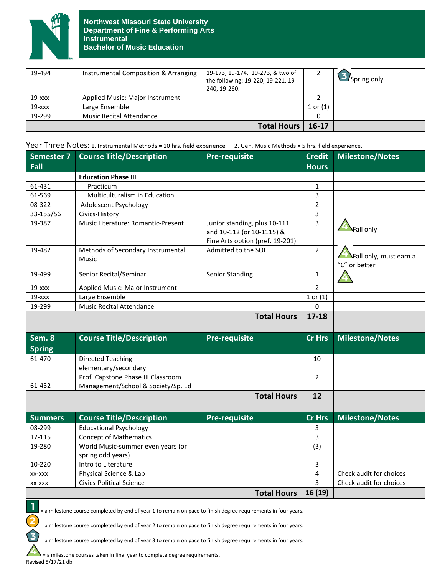

| 19-494             | Instrumental Composition & Arranging | 19-173, 19-174, 19-273, & two of<br>the following: 19-220, 19-221, 19-<br>240. 19-260. |              | $\Box$ Spring only |
|--------------------|--------------------------------------|----------------------------------------------------------------------------------------|--------------|--------------------|
| $19  xxx$          | Applied Music: Major Instrument      |                                                                                        |              |                    |
| $19  xxx$          | Large Ensemble                       |                                                                                        | $1$ or $(1)$ |                    |
| 19-299             | <b>Music Recital Attendance</b>      |                                                                                        |              |                    |
| <b>Total Hours</b> |                                      |                                                                                        | 16-17        |                    |

Year Three Notes: 1. Instrumental Methods = 10 hrs. field experience 2. Gen. Music Methods = 5 hrs. field experience.

| <b>Semester 7</b> | <b>Course Title/Description</b>                  | <b>Pre-requisite</b>                                                                         | <b>Credit</b>  | <b>Milestone/Notes</b>                                   |
|-------------------|--------------------------------------------------|----------------------------------------------------------------------------------------------|----------------|----------------------------------------------------------|
| Fall              |                                                  |                                                                                              | <b>Hours</b>   |                                                          |
|                   | <b>Education Phase III</b>                       |                                                                                              |                |                                                          |
| 61-431            | Practicum                                        |                                                                                              | 1              |                                                          |
| 61-569            | Multiculturalism in Education                    |                                                                                              | 3              |                                                          |
| 08-322            | Adolescent Psychology                            |                                                                                              | $\overline{2}$ |                                                          |
| 33-155/56         | Civics-History                                   |                                                                                              | 3              |                                                          |
| 19-387            | Music Literature: Romantic-Present               | Junior standing, plus 10-111<br>and 10-112 (or 10-1115) &<br>Fine Arts option (pref. 19-201) | 3              | Fall only                                                |
| 19-482            | Methods of Secondary Instrumental<br>Music       | Admitted to the SOE                                                                          | $\overline{2}$ | $\blacktriangle$ Fall only, must earn a<br>"C" or better |
| 19-499            | Senior Recital/Seminar                           | <b>Senior Standing</b>                                                                       | $\mathbf{1}$   |                                                          |
| $19 - xxx$        | Applied Music: Major Instrument                  |                                                                                              | $\overline{2}$ |                                                          |
| $19  xxx$         | Large Ensemble                                   |                                                                                              | $1$ or $(1)$   |                                                          |
| 19-299            | <b>Music Recital Attendance</b>                  |                                                                                              | $\Omega$       |                                                          |
|                   |                                                  | <b>Total Hours</b>                                                                           | $17 - 18$      |                                                          |
| Sem. 8            | <b>Course Title/Description</b>                  | <b>Pre-requisite</b>                                                                         | <b>Cr Hrs</b>  | <b>Milestone/Notes</b>                                   |
| <b>Spring</b>     |                                                  |                                                                                              |                |                                                          |
| 61-470            | <b>Directed Teaching</b><br>elementary/secondary |                                                                                              | 10             |                                                          |
|                   | Prof. Capstone Phase III Classroom               |                                                                                              | 2              |                                                          |
| 61-432            | Management/School & Society/Sp. Ed               |                                                                                              |                |                                                          |
|                   |                                                  | <b>Total Hours</b>                                                                           | 12             |                                                          |
| <b>Summers</b>    | <b>Course Title/Description</b>                  | <b>Pre-requisite</b>                                                                         | <b>Cr Hrs</b>  | Milestone/Notes                                          |
| 08-299            | <b>Educational Psychology</b>                    |                                                                                              | 3              |                                                          |
| 17-115            | <b>Concept of Mathematics</b>                    |                                                                                              | 3              |                                                          |
| 19-280            | World Music-summer even years (or                |                                                                                              | (3)            |                                                          |
|                   | spring odd years)                                |                                                                                              |                |                                                          |
| 10-220            | Intro to Literature                              |                                                                                              | 3              |                                                          |
| XX-XXX            | Physical Science & Lab                           |                                                                                              | 4              | Check audit for choices                                  |
| XX-XXX            | <b>Civics-Political Science</b>                  |                                                                                              | 3              | Check audit for choices                                  |
|                   |                                                  | <b>Total Hours</b>                                                                           | 16(19)         |                                                          |

= a milestone course completed by end of year 1 to remain on pace to finish degree requirements in four years.

= a milestone course completed by end of year 2 to remain on pace to finish degree requirements in four years.

= a milestone course completed by end of year 3 to remain on pace to finish degree requirements in four years.

= a milestone courses taken in final year to complete degree requirements. Revised 5/17/21 db

1

2

 $\mathbf{E}$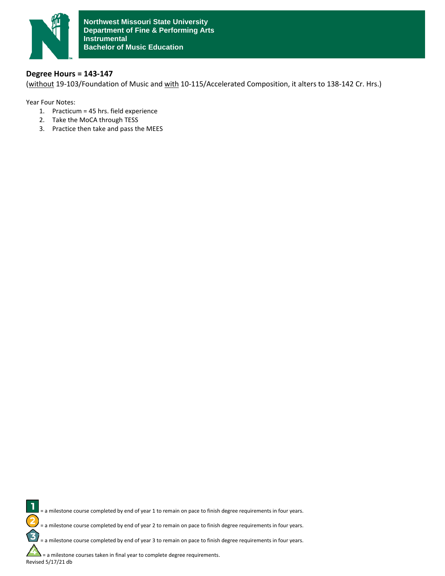

# **Degree Hours = 143-147**

(without 19-103/Foundation of Music and with 10-115/Accelerated Composition, it alters to 138-142 Cr. Hrs.)

Year Four Notes:

- 1. Practicum = 45 hrs. field experience
- 2. Take the MoCA through TESS
- 3. Practice then take and pass the MEES

1 = a milestone course completed by end of year 1 to remain on pace to finish degree requirements in four years. 2 = a milestone course completed by end of year 2 to remain on pace to finish degree requirements in four years.  $\mathbf{z}$ = a milestone course completed by end of year 3 to remain on pace to finish degree requirements in four years. = a milestone courses taken in final year to complete degree requirements.

Revised 5/17/21 db